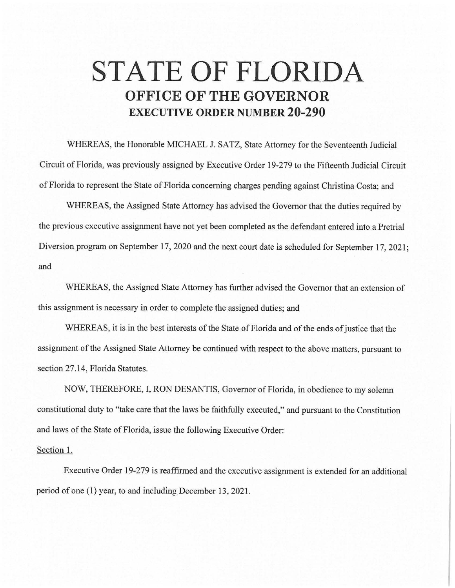## **STATE OF FLORIDA OFFICE OF THE GOVERNOR EXECUTIVE ORDER NUMBER 20-290**

WHEREAS, the Honorable MICHAEL J. SATZ, State Attorney for the Seventeenth Judicial Circuit of Florida, was previously assigned by Executive Order 19-279 to the Fifteenth Judicial Circuit of Florida to represent the State of Florida concerning charges pending against Christina Costa; and

WHEREAS, the Assigned State Attorney has advised the Governor that the duties required by the previous executive assignment have not yet been completed as the defendant entered into a Pretrial Diversion program on September 17, 2020 and the next court date is scheduled for September 17, 2021; and

WHEREAS, the Assigned State Attorney has further advised the Governor that an extension of this assignment is necessary in order to complete the assigned duties; and

WHEREAS, it is in the best interests of the State of Florida and of the ends of justice that the assignment of the Assigned State Attorney be continued with respect to the above matters, pursuant to section 27.14, Florida Statutes.

NOW, THEREFORE, I, RON DESANTIS, Governor of Florida, in obedience to my solemn constitutional duty to "take care that the laws be faithfully executed," and pursuant to the Constitution and laws of the State of Florida, issue the following Executive Order:

## Section 1.

Executive Order 19-279 is reaffirmed and the executive assignment is extended for an additional period of one (1) year, to and including December 13, 2021.